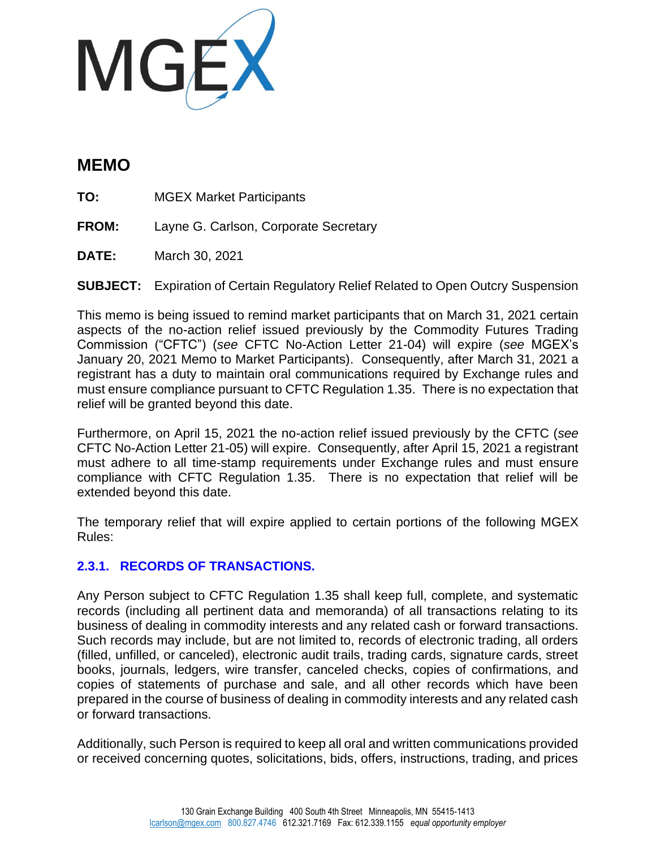

# **MEMO**

**TO:** MGEX Market Participants

- **FROM:** Layne G. Carlson, Corporate Secretary
- **DATE:** March 30, 2021

**SUBJECT:** Expiration of Certain Regulatory Relief Related to Open Outcry Suspension

This memo is being issued to remind market participants that on March 31, 2021 certain aspects of the no-action relief issued previously by the Commodity Futures Trading Commission ("CFTC") (*see* CFTC No-Action Letter 21-04) will expire (*see* MGEX's January 20, 2021 Memo to Market Participants). Consequently, after March 31, 2021 a registrant has a duty to maintain oral communications required by Exchange rules and must ensure compliance pursuant to CFTC Regulation 1.35. There is no expectation that relief will be granted beyond this date.

Furthermore, on April 15, 2021 the no-action relief issued previously by the CFTC (*see* CFTC No-Action Letter 21-05) will expire. Consequently, after April 15, 2021 a registrant must adhere to all time-stamp requirements under Exchange rules and must ensure compliance with CFTC Regulation 1.35. There is no expectation that relief will be extended beyond this date.

The temporary relief that will expire applied to certain portions of the following MGEX Rules:

## **2.3.1. RECORDS OF TRANSACTIONS.**

Any Person subject to CFTC Regulation 1.35 shall keep full, complete, and systematic records (including all pertinent data and memoranda) of all transactions relating to its business of dealing in commodity interests and any related cash or forward transactions. Such records may include, but are not limited to, records of electronic trading, all orders (filled, unfilled, or canceled), electronic audit trails, trading cards, signature cards, street books, journals, ledgers, wire transfer, canceled checks, copies of confirmations, and copies of statements of purchase and sale, and all other records which have been prepared in the course of business of dealing in commodity interests and any related cash or forward transactions.

Additionally, such Person is required to keep all oral and written communications provided or received concerning quotes, solicitations, bids, offers, instructions, trading, and prices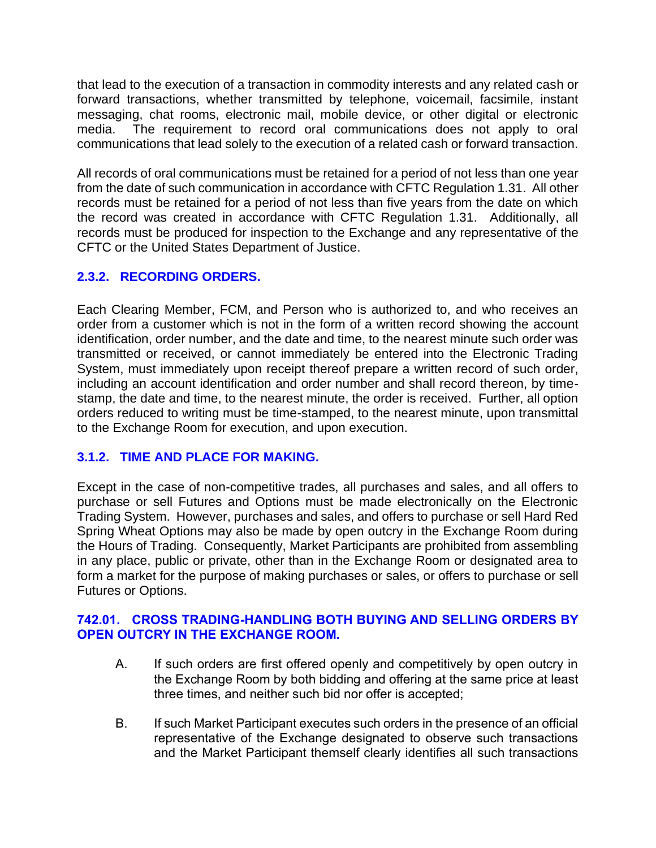that lead to the execution of a transaction in commodity interests and any related cash or forward transactions, whether transmitted by telephone, voicemail, facsimile, instant messaging, chat rooms, electronic mail, mobile device, or other digital or electronic media. The requirement to record oral communications does not apply to oral communications that lead solely to the execution of a related cash or forward transaction.

All records of oral communications must be retained for a period of not less than one year from the date of such communication in accordance with CFTC Regulation 1.31. All other records must be retained for a period of not less than five years from the date on which the record was created in accordance with CFTC Regulation 1.31. Additionally, all records must be produced for inspection to the Exchange and any representative of the CFTC or the United States Department of Justice.

# **2.3.2. RECORDING ORDERS.**

Each Clearing Member, FCM, and Person who is authorized to, and who receives an order from a customer which is not in the form of a written record showing the account identification, order number, and the date and time, to the nearest minute such order was transmitted or received, or cannot immediately be entered into the Electronic Trading System, must immediately upon receipt thereof prepare a written record of such order, including an account identification and order number and shall record thereon, by timestamp, the date and time, to the nearest minute, the order is received. Further, all option orders reduced to writing must be time-stamped, to the nearest minute, upon transmittal to the Exchange Room for execution, and upon execution.

## **3.1.2. TIME AND PLACE FOR MAKING.**

Except in the case of non-competitive trades, all purchases and sales, and all offers to purchase or sell Futures and Options must be made electronically on the Electronic Trading System. However, purchases and sales, and offers to purchase or sell Hard Red Spring Wheat Options may also be made by open outcry in the Exchange Room during the Hours of Trading. Consequently, Market Participants are prohibited from assembling in any place, public or private, other than in the Exchange Room or designated area to form a market for the purpose of making purchases or sales, or offers to purchase or sell Futures or Options.

#### **742.01. CROSS TRADING-HANDLING BOTH BUYING AND SELLING ORDERS BY OPEN OUTCRY IN THE EXCHANGE ROOM.**

- A. If such orders are first offered openly and competitively by open outcry in the Exchange Room by both bidding and offering at the same price at least three times, and neither such bid nor offer is accepted;
- B. If such Market Participant executes such orders in the presence of an official representative of the Exchange designated to observe such transactions and the Market Participant themself clearly identifies all such transactions